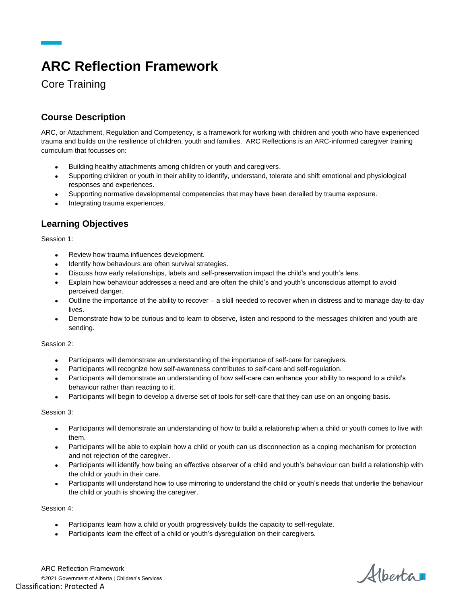# **ARC Reflection Framework**

Core Training

## **Course Description**

ARC, or Attachment, Regulation and Competency, is a framework for working with children and youth who have experienced trauma and builds on the resilience of children, youth and families. ARC Reflections is an ARC-informed caregiver training curriculum that focusses on:

- Building healthy attachments among children or youth and caregivers.
- Supporting children or youth in their ability to identify, understand, tolerate and shift emotional and physiological responses and experiences.
- Supporting normative developmental competencies that may have been derailed by trauma exposure.
- Integrating trauma experiences.

### **Learning Objectives**

Session 1:

- Review how trauma influences development.
- Identify how behaviours are often survival strategies.
- Discuss how early relationships, labels and self-preservation impact the child's and youth's lens.
- Explain how behaviour addresses a need and are often the child's and youth's unconscious attempt to avoid perceived danger.
- Outline the importance of the ability to recover a skill needed to recover when in distress and to manage day-to-day lives.
- Demonstrate how to be curious and to learn to observe, listen and respond to the messages children and youth are sending.

Session 2:

- Participants will demonstrate an understanding of the importance of self-care for caregivers.
- Participants will recognize how self-awareness contributes to self-care and self-regulation.
- Participants will demonstrate an understanding of how self-care can enhance your ability to respond to a child's behaviour rather than reacting to it.
- Participants will begin to develop a diverse set of tools for self-care that they can use on an ongoing basis.

Session 3:

- Participants will demonstrate an understanding of how to build a relationship when a child or youth comes to live with them.
- Participants will be able to explain how a child or youth can us disconnection as a coping mechanism for protection and not rejection of the caregiver.
- Participants will identify how being an effective observer of a child and youth's behaviour can build a relationship with the child or youth in their care.
- Participants will understand how to use mirroring to understand the child or youth's needs that underlie the behaviour the child or youth is showing the caregiver.

Session 4:

- Participants learn how a child or youth progressively builds the capacity to self-regulate.
- Participants learn the effect of a child or youth's dysregulation on their caregivers.

ARC Reflection Framework ©2021 Government of Alberta | Children's Services Classification: Protected A

Alberta